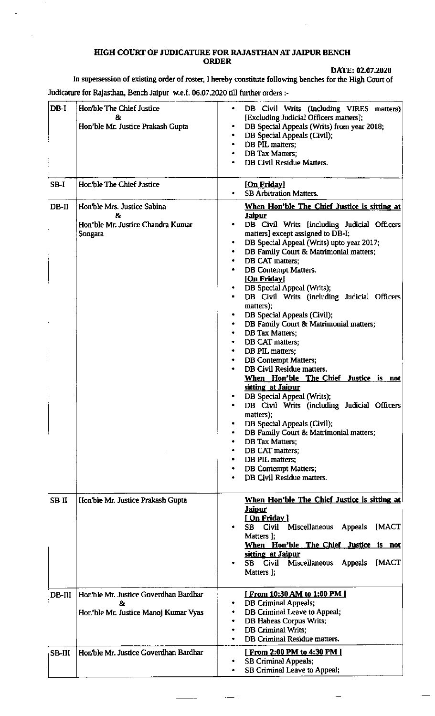## HIGH COURT OF JUDICATURE FOR RAJASTHAN AT JAIPUR BENCH **ORDER**

DATE: 02.07.2020

In supersession of existing order of roster, I hereby constitute following benches for the High Court of Judicature for Rajasthan, Bench Jaipur w.e.f. 06.07.2020 till further orders :-

| $DB-I$  | Hon'ble The Chief Justice<br>&<br>Hon'ble Mr. Justice Prakash Gupta                 | DB Civil Writs (Including VIRES matters)<br>٠<br>[Excluding Judicial Officers matters];<br>DB Special Appeals (Writs) from year 2018;<br>DB Special Appeals (Civil);<br>DB PIL matters;<br>٠<br><b>DB Tax Matters:</b><br>٠<br><b>DB Civil Residue Matters.</b>                                                                                                                                                                                                                                                                                                                                                                                                                                                                                                                                                                                                                                                                                                                                     |
|---------|-------------------------------------------------------------------------------------|-----------------------------------------------------------------------------------------------------------------------------------------------------------------------------------------------------------------------------------------------------------------------------------------------------------------------------------------------------------------------------------------------------------------------------------------------------------------------------------------------------------------------------------------------------------------------------------------------------------------------------------------------------------------------------------------------------------------------------------------------------------------------------------------------------------------------------------------------------------------------------------------------------------------------------------------------------------------------------------------------------|
| SB-I    | Hon'ble The Chief Justice                                                           | [On Friday]<br><b>SB Arbitration Matters.</b>                                                                                                                                                                                                                                                                                                                                                                                                                                                                                                                                                                                                                                                                                                                                                                                                                                                                                                                                                       |
| $DB-II$ | Hon'ble Mrs. Justice Sabina<br>&.<br>Hon'ble Mr. Justice Chandra Kumar<br>Songara   | When Hon'ble The Chief Justice is sitting at<br><b>Jaipur</b><br>DB Civil Writs [including Judicial Officers<br>matters] except assigned to DB-I;<br>DB Special Appeal (Writs) upto year 2017;<br>DB Family Court & Matrimonial matters;<br>DB CAT matters:<br><b>DB</b> Contempt Matters.<br>[On Friday]<br>DB Special Appeal (Writs);<br>DB Civil Writs (including Judicial Officers<br>matters);<br>DB Special Appeals (Civil);<br>DB Family Court & Matrimonial matters;<br>٠<br><b>DB</b> Tax Matters;<br>٠<br>DB CAT matters;<br>٠<br>DB PIL matters;<br>٠<br><b>DB Contempt Matters;</b><br>۰<br>DB Civil Residue matters.<br>When Hon'ble The Chief Justice is not<br>sitting at Jaipur<br>DB Special Appeal (Writs);<br>۰<br>DB Civil Writs (including Judicial Officers<br>matters);<br>DB Special Appeals (Civil);<br>DB Family Court & Matrimonial matters;<br><b>DB Tax Matters;</b><br>DB CAT matters;<br>DB PIL matters;<br><b>DB Contempt Matters;</b><br>DB Civil Residue matters. |
| $SB-II$ | Hon'ble Mr. Justice Prakash Gupta                                                   | <b>When Hon'ble The Chief Justice is sitting at</b><br><u>Jaipur</u><br>[ On Friday ]<br>Miscellaneous<br>Civil<br>Appeals<br>[MACT<br>SB<br>Matters ];<br>When Hon'ble The Chief Justice is not<br>sitting at Jaipur<br><b>Miscellaneous</b><br>Civil<br><b>Appeals</b><br>[MACT<br>SB<br>Matters ];                                                                                                                                                                                                                                                                                                                                                                                                                                                                                                                                                                                                                                                                                               |
| DB-III  | Hon'ble Mr. Justice Goverdhan Bardhar<br>8.<br>Hon'ble Mr. Justice Manoj Kumar Vyas | [ From 10:30 AM to 1:00 PM ]<br><b>DB Criminal Appeals;</b><br>DB Criminal Leave to Appeal;<br>DB Habeas Corpus Writs;<br>DB Criminal Writs;<br>DB Criminal Residue matters.                                                                                                                                                                                                                                                                                                                                                                                                                                                                                                                                                                                                                                                                                                                                                                                                                        |
| SB-III  | Hon'ble Mr. Justice Goverdhan Bardhar                                               | <u>[From 2:00 PM to 4:30 PM ]</u><br><b>SB Criminal Appeals;</b><br>SB Criminal Leave to Appeal;                                                                                                                                                                                                                                                                                                                                                                                                                                                                                                                                                                                                                                                                                                                                                                                                                                                                                                    |

 $\mathbb{R}^2$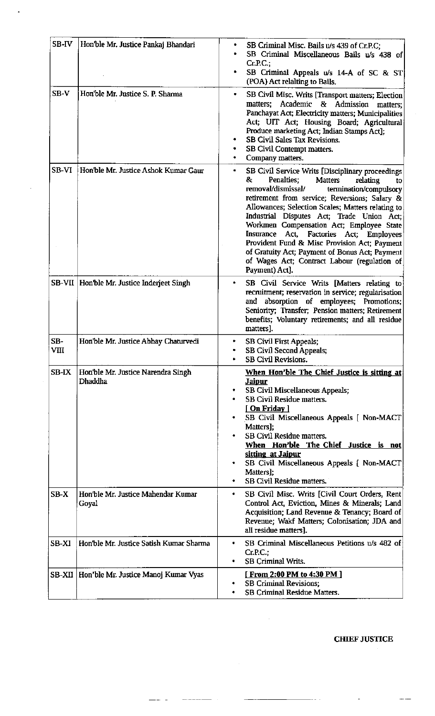| SB-IV<br>SB-V | Hon'ble Mr. Justice Pankaj Bhandari<br>Hon'ble Mr. Justice S. P. Sharma | SB Criminal Misc. Bails u/s 439 of Cr.P.C;<br>٠<br>SB Criminal Miscellaneous Bails u/s 438 of<br>$Cr.P.C.$ ;<br>SB Criminal Appeals u/s 14-A of SC & ST<br>(POA) Act relalting to Bails.                                                                                                                                                                                                                                                                                                                                                                                       |
|---------------|-------------------------------------------------------------------------|--------------------------------------------------------------------------------------------------------------------------------------------------------------------------------------------------------------------------------------------------------------------------------------------------------------------------------------------------------------------------------------------------------------------------------------------------------------------------------------------------------------------------------------------------------------------------------|
|               |                                                                         | SB Civil Misc. Writs [Transport matters; Election<br>٠<br>Academic & Admission<br>matters;<br>matters;<br>Panchayat Act; Electricity matters; Municipalities<br>Act; UIT Act; Housing Board; Agricultural<br>Produce marketing Act; Indian Stamps Act];<br>SB Civil Sales Tax Revisions.<br>SB Civil Contempt matters.<br>Company matters.                                                                                                                                                                                                                                     |
| SB-VI         | Hon'ble Mr. Justice Ashok Kumar Gaur                                    | SB Civil Service Writs [Disciplinary proceedings<br>۰<br>Penalties:<br><b>Matters</b><br>relating<br>8.<br>to<br>removal/dismissal/<br>termination/compulsory<br>retirement from service; Reversions; Salary &<br>Allowances; Selection Scales; Matters relating to<br>Industrial Disputes Act; Trade Union Act;<br>Workmen Compensation Act; Employee State<br>Factories Act; Employees<br>Insurance Act,<br>Provident Fund & Misc Provision Act; Payment<br>of Gratuity Act; Payment of Bonus Act; Payment<br>of Wages Act; Contract Labour (regulation of<br>Payment) Act]. |
|               | SB-VII   Hon'ble Mr. Justice Inderjeet Singh                            | SB Civil Service Writs [Matters relating to<br>۰<br>recruitment; reservation in service; regularisation<br>and absorption of employees; Promotions;<br>Seniority; Transfer; Pension matters; Retirement<br>benefits; Voluntary retirements; and all residue<br>matters].                                                                                                                                                                                                                                                                                                       |
| SB-<br>VIII   | Hon'ble Mr. Justice Abhay Chaturvedi                                    | <b>SB Civil First Appeals;</b><br>SB Civil Second Appeals;<br>٠<br><b>SB Civil Revisions.</b>                                                                                                                                                                                                                                                                                                                                                                                                                                                                                  |
| SB-IX         | Hon'ble Mr. Justice Narendra Singh<br><b>Dhaddha</b>                    | When Hon'ble The Chief Justice is sitting at<br><u>Jaipur</u><br>SB Civil Miscellaneous Appeals;<br><b>SB Civil Residue matters.</b><br>[On Friday]<br>SB Civil Miscellaneous Appeals [ Non-MACT<br>Matters];<br>SB Civil Residue matters.<br>When Hon'ble The Chief Justice is not<br>sitting at Jaipur<br>SB Civil Miscellaneous Appeals [ Non-MACT<br>Matters];<br>SB Civil Residue matters.                                                                                                                                                                                |
| $SB-X$        | Hon'ble Mr. Justice Mahendar Kumar<br>Goyal                             | SB Civil Misc. Writs [Civil Court Orders, Rent<br>٠<br>Control Act, Eviction, Mines & Minerals; Land<br>Acquisition; Land Revenue & Tenancy; Board of<br>Revenue; Wakf Matters; Colonisation; JDA and<br>all residue matters].                                                                                                                                                                                                                                                                                                                                                 |
| SB-XI         | Hon'ble Mr. Justice Satish Kumar Sharma                                 | SB Criminal Miscellaneous Petitions u/s 482 of<br>۰<br>Cr.P.C.;<br><b>SB Criminal Writs.</b>                                                                                                                                                                                                                                                                                                                                                                                                                                                                                   |
|               | SB-XII   Hon'ble Mr. Justice Manoj Kumar Vyas                           | [From 2:00 PM to 4:30 PM]<br><b>SB Criminal Revisions;</b><br><b>SB Criminal Residue Matters.</b>                                                                                                                                                                                                                                                                                                                                                                                                                                                                              |

 $\ddot{\phantom{1}}$ 

 $\mathcal{A}^{\mathcal{A}}$ 

 $\hat{\boldsymbol{\beta}}$ 

**CHIEF JUSTICE** 

 $\bar{z}$ 

 $\overline{\phantom{a}}$ 

 $-$ 

 $\sim$   $\sim$ 

 $\sim$ 

 $\hat{\mathcal{A}}$ 

 $- - - - - -$ 

 $\frac{1}{2}$ 

 $\boldsymbol{\cdot}$